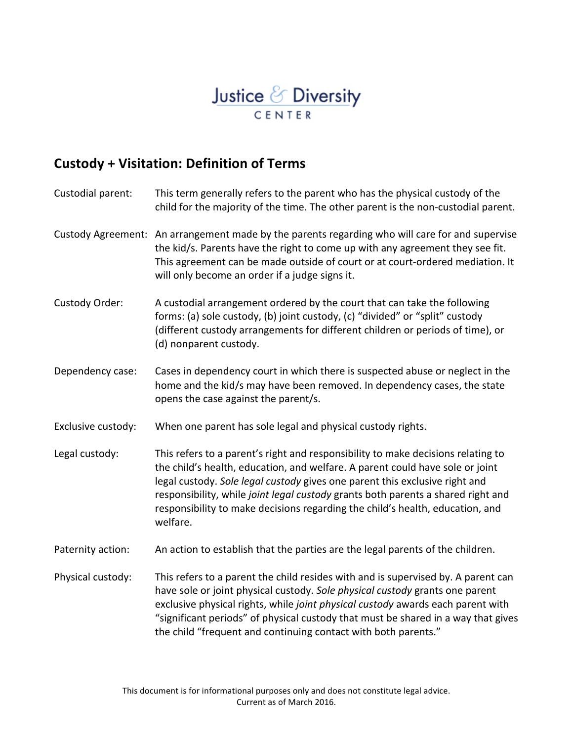# Justice & Diversity CENTER

# **Custody + Visitation: Definition of Terms**

| Custodial parent:  | This term generally refers to the parent who has the physical custody of the<br>child for the majority of the time. The other parent is the non-custodial parent.                                                                                                                                                                                                                                                                 |
|--------------------|-----------------------------------------------------------------------------------------------------------------------------------------------------------------------------------------------------------------------------------------------------------------------------------------------------------------------------------------------------------------------------------------------------------------------------------|
|                    | Custody Agreement: An arrangement made by the parents regarding who will care for and supervise<br>the kid/s. Parents have the right to come up with any agreement they see fit.<br>This agreement can be made outside of court or at court-ordered mediation. It<br>will only become an order if a judge signs it.                                                                                                               |
| Custody Order:     | A custodial arrangement ordered by the court that can take the following<br>forms: (a) sole custody, (b) joint custody, (c) "divided" or "split" custody<br>(different custody arrangements for different children or periods of time), or<br>(d) nonparent custody.                                                                                                                                                              |
| Dependency case:   | Cases in dependency court in which there is suspected abuse or neglect in the<br>home and the kid/s may have been removed. In dependency cases, the state<br>opens the case against the parent/s.                                                                                                                                                                                                                                 |
| Exclusive custody: | When one parent has sole legal and physical custody rights.                                                                                                                                                                                                                                                                                                                                                                       |
| Legal custody:     | This refers to a parent's right and responsibility to make decisions relating to<br>the child's health, education, and welfare. A parent could have sole or joint<br>legal custody. Sole legal custody gives one parent this exclusive right and<br>responsibility, while joint legal custody grants both parents a shared right and<br>responsibility to make decisions regarding the child's health, education, and<br>welfare. |
| Paternity action:  | An action to establish that the parties are the legal parents of the children.                                                                                                                                                                                                                                                                                                                                                    |
| Physical custody:  | This refers to a parent the child resides with and is supervised by. A parent can<br>have sole or joint physical custody. Sole physical custody grants one parent<br>exclusive physical rights, while joint physical custody awards each parent with<br>"significant periods" of physical custody that must be shared in a way that gives<br>the child "frequent and continuing contact with both parents."                       |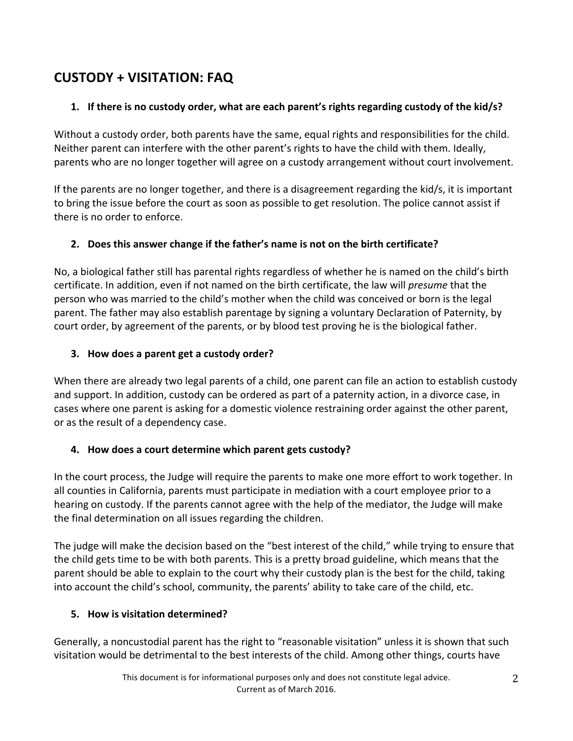# **CUSTODY + VISITATION: FAQ**

### 1. If there is no custody order, what are each parent's rights regarding custody of the kid/s?

Without a custody order, both parents have the same, equal rights and responsibilities for the child. Neither parent can interfere with the other parent's rights to have the child with them. Ideally, parents who are no longer together will agree on a custody arrangement without court involvement.

If the parents are no longer together, and there is a disagreement regarding the kid/s, it is important to bring the issue before the court as soon as possible to get resolution. The police cannot assist if there is no order to enforce.

# **2.** Does this answer change if the father's name is not on the birth certificate?

No, a biological father still has parental rights regardless of whether he is named on the child's birth certificate. In addition, even if not named on the birth certificate, the law will *presume* that the person who was married to the child's mother when the child was conceived or born is the legal parent. The father may also establish parentage by signing a voluntary Declaration of Paternity, by court order, by agreement of the parents, or by blood test proving he is the biological father.

# **3.** How does a parent get a custody order?

When there are already two legal parents of a child, one parent can file an action to establish custody and support. In addition, custody can be ordered as part of a paternity action, in a divorce case, in cases where one parent is asking for a domestic violence restraining order against the other parent, or as the result of a dependency case.

### **4.** How does a court determine which parent gets custody?

In the court process, the Judge will require the parents to make one more effort to work together. In all counties in California, parents must participate in mediation with a court employee prior to a hearing on custody. If the parents cannot agree with the help of the mediator, the Judge will make the final determination on all issues regarding the children.

The judge will make the decision based on the "best interest of the child," while trying to ensure that the child gets time to be with both parents. This is a pretty broad guideline, which means that the parent should be able to explain to the court why their custody plan is the best for the child, taking into account the child's school, community, the parents' ability to take care of the child, etc.

# **5. How is visitation determined?**

Generally, a noncustodial parent has the right to "reasonable visitation" unless it is shown that such visitation would be detrimental to the best interests of the child. Among other things, courts have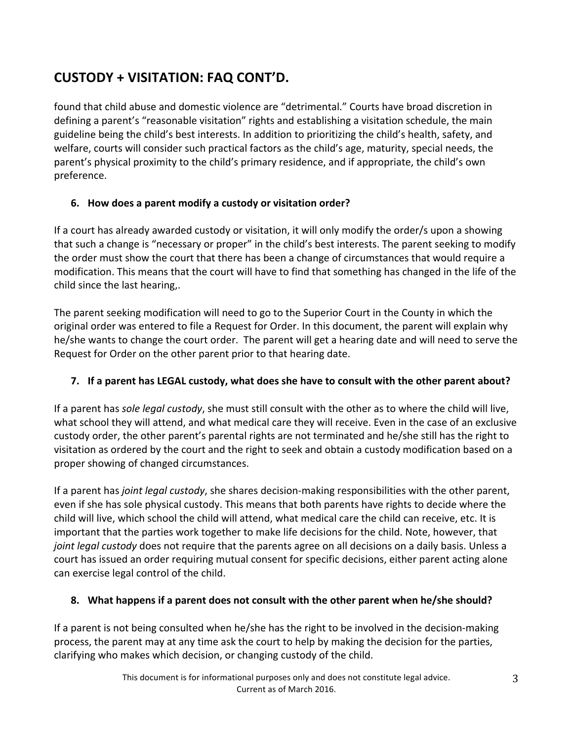# **CUSTODY + VISITATION: FAQ CONT'D.**

found that child abuse and domestic violence are "detrimental." Courts have broad discretion in defining a parent's "reasonable visitation" rights and establishing a visitation schedule, the main guideline being the child's best interests. In addition to prioritizing the child's health, safety, and welfare, courts will consider such practical factors as the child's age, maturity, special needs, the parent's physical proximity to the child's primary residence, and if appropriate, the child's own preference. 

# **6. How does a parent modify a custody or visitation order?**

If a court has already awarded custody or visitation, it will only modify the order/s upon a showing that such a change is "necessary or proper" in the child's best interests. The parent seeking to modify the order must show the court that there has been a change of circumstances that would require a modification. This means that the court will have to find that something has changed in the life of the child since the last hearing,.

The parent seeking modification will need to go to the Superior Court in the County in which the original order was entered to file a Request for Order. In this document, the parent will explain why he/she wants to change the court order. The parent will get a hearing date and will need to serve the Request for Order on the other parent prior to that hearing date.

### **7.** If a parent has LEGAL custody, what does she have to consult with the other parent about?

If a parent has *sole legal custody*, she must still consult with the other as to where the child will live, what school they will attend, and what medical care they will receive. Even in the case of an exclusive custody order, the other parent's parental rights are not terminated and he/she still has the right to visitation as ordered by the court and the right to seek and obtain a custody modification based on a proper showing of changed circumstances.

If a parent has *joint legal custody*, she shares decision-making responsibilities with the other parent, even if she has sole physical custody. This means that both parents have rights to decide where the child will live, which school the child will attend, what medical care the child can receive, etc. It is important that the parties work together to make life decisions for the child. Note, however, that *joint legal custody* does not require that the parents agree on all decisions on a daily basis. Unless a court has issued an order requiring mutual consent for specific decisions, either parent acting alone can exercise legal control of the child.

### **8.** What happens if a parent does not consult with the other parent when he/she should?

If a parent is not being consulted when he/she has the right to be involved in the decision-making process, the parent may at any time ask the court to help by making the decision for the parties, clarifying who makes which decision, or changing custody of the child.